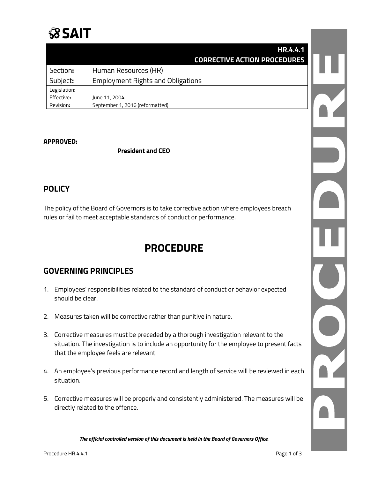# **SSAIT**

|              | HR.4.4.1<br><b>CORRECTIVE ACTION PROCEDURES</b> |  |
|--------------|-------------------------------------------------|--|
| Section:     | Human Resources (HR)                            |  |
| Subject:     | <b>Employment Rights and Obligations</b>        |  |
| Legislation: |                                                 |  |
| Effective:   | June 11, 2004                                   |  |
| Revision:    | September 1, 2016 (reformatted)                 |  |

#### **APPROVED:**

**President and CEO**

### **POLICY**

The policy of the Board of Governors is to take corrective action where employees breach rules or fail to meet acceptable standards of conduct or performance.

## **PROCEDURE**

### **GOVERNING PRINCIPLES**

- 1. Employees' responsibilities related to the standard of conduct or behavior expected should be clear.
- 2. Measures taken will be corrective rather than punitive in nature.
- 3. Corrective measures must be preceded by a thorough investigation relevant to the situation. The investigation is to include an opportunity for the employee to present facts that the employee feels are relevant.
- 4. An employee's previous performance record and length of service will be reviewed in each situation.
- 5. Corrective measures will be properly and consistently administered. The measures will be directly related to the offence.

*The official controlled version of this document is held in the Board of Governors Office.*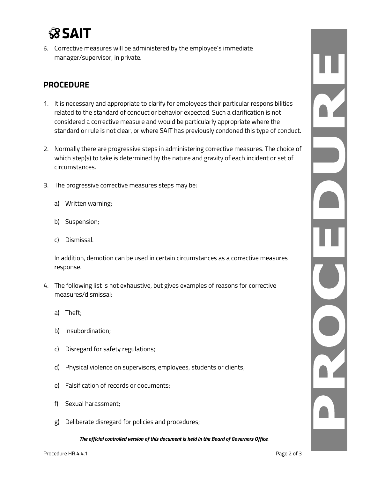

6. Corrective measures will be administered by the employee's immediate manager/supervisor, in private.

### **PROCEDURE**

- 1. It is necessary and appropriate to clarify for employees their particular responsibilities related to the standard of conduct or behavior expected. Such a clarification is not considered a corrective measure and would be particularly appropriate where the standard or rule is not clear, or where SAIT has previously condoned this type of conduct.
- 2. Normally there are progressive steps in administering corrective measures. The choice of which step(s) to take is determined by the nature and gravity of each incident or set of circumstances.
- 3. The progressive corrective measures steps may be:
	- a) Written warning;
	- b) Suspension;
	- c) Dismissal.

In addition, demotion can be used in certain circumstances as a corrective measures response.

- 4. The following list is not exhaustive, but gives examples of reasons for corrective measures/dismissal:
	- a) Theft;
	- b) Insubordination;
	- c) Disregard for safety regulations;
	- d) Physical violence on supervisors, employees, students or clients;
	- e) Falsification of records or documents;
	- f) Sexual harassment;
	- g) Deliberate disregard for policies and procedures;

*The official controlled version of this document is held in the Board of Governors Office.*

 $\frac{1}{\sqrt{2}}$